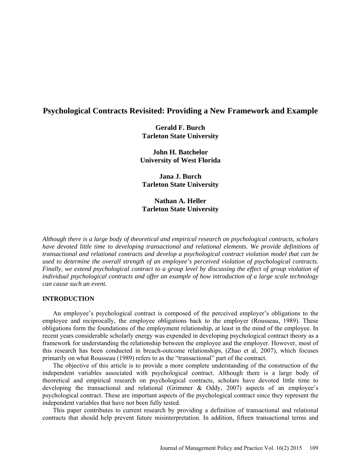# **Psychological Contracts Revisited: Providing a New Framework and Example**

**Gerald F. Burch Tarleton State University**

**John H. Batchelor University of West Florida**

**Jana J. Burch Tarleton State University**

**Nathan A. Heller Tarleton State University**

*Although there is a large body of theoretical and empirical research on psychological contracts, scholars have devoted little time to developing transactional and relational elements. We provide definitions of transactional and relational contracts and develop a psychological contract violation model that can be used to determine the overall strength of an employee's perceived violation of psychological contracts. Finally, we extend psychological contract to a group level by discussing the effect of group violation of individual psychological contracts and offer an example of how introduction of a large scale technology can cause such an event.*

# **INTRODUCTION**

An employee's psychological contract is composed of the perceived employer's obligations to the employee and reciprocally, the employee obligations back to the employer (Rousseau, 1989). These obligations form the foundations of the employment relationship, at least in the mind of the employee. In recent years considerable scholarly energy was expended in developing psychological contract theory as a framework for understanding the relationship between the employee and the employer. However, most of this research has been conducted in breach-outcome relationships, (Zhao et al, 2007), which focuses primarily on what Rousseau (1989) refers to as the "transactional" part of the contract.

The objective of this article is to provide a more complete understanding of the construction of the independent variables associated with psychological contract. Although there is a large body of theoretical and empirical research on psychological contracts, scholars have devoted little time to developing the transactional and relational (Grimmer & Oddy, 2007) aspects of an employee's psychological contract. These are important aspects of the psychological contract since they represent the independent variables that have not been fully tested.

This paper contributes to current research by providing a definition of transactional and relational contracts that should help prevent future misinterpretation. In addition, fifteen transactional terms and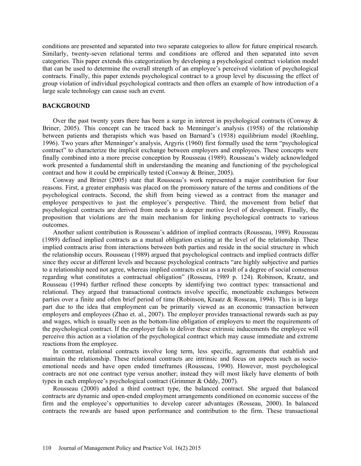conditions are presented and separated into two separate categories to allow for future empirical research. Similarly, twenty-seven relational terms and conditions are offered and then separated into seven categories. This paper extends this categorization by developing a psychological contract violation model that can be used to determine the overall strength of an employee's perceived violation of psychological contracts. Finally, this paper extends psychological contract to a group level by discussing the effect of group violation of individual psychological contracts and then offers an example of how introduction of a large scale technology can cause such an event.

### **BACKGROUND**

Over the past twenty years there has been a surge in interest in psychological contracts (Conway  $\&$ Briner, 2005). This concept can be traced back to Menninger's analysis (1958) of the relationship between patients and therapists which was based on Barnard's (1938) equilibrium model (Roehling, 1996). Two years after Menninger's analysis, Argyris (1960) first formally used the term "psychological contract" to characterize the implicit exchange between employers and employees. These concepts were finally combined into a more precise conception by Rousseau (1989). Rousseau's widely acknowledged work presented a fundamental shift in understanding the meaning and functioning of the psychological contract and how it could be empirically tested (Conway & Briner, 2005).

Conway and Briner (2005) state that Rousseau's work represented a major contribution for four reasons. First, a greater emphasis was placed on the promissory nature of the terms and conditions of the psychological contracts. Second, the shift from being viewed as a contract from the manager and employee perspectives to just the employee's perspective. Third, the movement from belief that psychological contracts are derived from needs to a deeper motive level of development. Finally, the proposition that violations are the main mechanism for linking psychological contracts to various outcomes.

Another salient contribution is Rousseau's addition of implied contracts (Rousseau, 1989). Rousseau (1989) defined implied contracts as a mutual obligation existing at the level of the relationship. These implied contracts arise from interactions between both parties and reside in the social structure in which the relationship occurs. Rousseau (1989) argued that psychological contracts and implied contracts differ since they occur at different levels and because psychological contracts "are highly subjective and parties to a relationship need not agree, whereas implied contracts exist as a result of a degree of social consensus regarding what constitutes a contractual obligation" (Rosseau, 1989 p. 124). Robinson, Kraatz, and Rousseau (1994) further refined these concepts by identifying two contract types: transactional and relational. They argued that transactional contracts involve specific, monetizable exchanges between parties over a finite and often brief period of time (Robinson, Kraatz & Rosseau, 1994). This is in large part due to the idea that employment can be primarily viewed as an economic transaction between employers and employees (Zhao et. al., 2007). The employer provides transactional rewards such as pay and wages, which is usually seen as the bottom-line obligation of employers to meet the requirements of the psychological contract. If the employer fails to deliver these extrinsic inducements the employee will perceive this action as a violation of the psychological contract which may cause immediate and extreme reactions from the employee.

In contrast, relational contracts involve long term, less specific, agreements that establish and maintain the relationship. These relational contracts are intrinsic and focus on aspects such as socioemotional needs and have open ended timeframes (Rousseau, 1990). However, most psychological contracts are not one contract type versus another; instead they will most likely have elements of both types in each employee's psychological contract (Grimmer & Oddy, 2007).

Rousseau (2000) added a third contract type, the balanced contract. She argued that balanced contracts are dynamic and open-ended employment arrangements conditioned on economic success of the firm and the employee's opportunities to develop career advantages (Rosseau, 2000). In balanced contracts the rewards are based upon performance and contribution to the firm. These transactional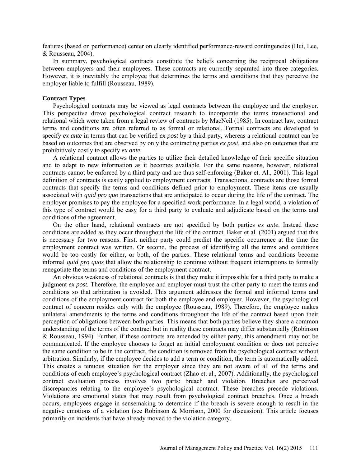features (based on performance) center on clearly identified performance-reward contingencies (Hui, Lee, & Rousseau, 2004).

In summary, psychological contracts constitute the beliefs concerning the reciprocal obligations between employers and their employees. These contracts are currently separated into three categories. However, it is inevitably the employee that determines the terms and conditions that they perceive the employer liable to fulfill (Rousseau, 1989).

#### **Contract Types**

Psychological contracts may be viewed as legal contracts between the employee and the employer. This perspective drove psychological contract research to incorporate the terms transactional and relational which were taken from a legal review of contracts by MacNeil (1985). In contract law, contract terms and conditions are often referred to as formal or relational. Formal contracts are developed to specify *ex ante* in terms that can be verified *ex post* by a third party, whereas a relational contract can be based on outcomes that are observed by only the contracting parties *ex post,* and also on outcomes that are prohibitively costly to specify *ex ante.* 

A relational contract allows the parties to utilize their detailed knowledge of their specific situation and to adapt to new information as it becomes available. For the same reasons, however, relational contracts cannot be enforced by a third party and are thus self-enforcing (Baker et. Al., 2001). This legal definition of contracts is easily applied to employment contracts. Transactional contracts are those formal contracts that specify the terms and conditions defined prior to employment. These items are usually associated with *quid pro quo* transactions that are anticipated to occur during the life of the contract. The employer promises to pay the employee for a specified work performance. In a legal world, a violation of this type of contract would be easy for a third party to evaluate and adjudicate based on the terms and conditions of the agreement.

On the other hand, relational contracts are not specified by both parties *ex ante*. Instead these conditions are added as they occur throughout the life of the contract. Baker et al. (2001) argued that this is necessary for two reasons. First, neither party could predict the specific occurrence at the time the employment contract was written. Or second, the process of identifying all the terms and conditions would be too costly for either, or both, of the parties. These relational terms and conditions become informal *quid pro quos* that allow the relationship to continue without frequent interruptions to formally renegotiate the terms and conditions of the employment contract.

An obvious weakness of relational contracts is that they make it impossible for a third party to make a judgment *ex post.* Therefore, the employee and employer must trust the other party to meet the terms and conditions so that arbitration is avoided. This argument addresses the formal and informal terms and conditions of the employment contract for both the employee and employer. However, the psychological contract of concern resides only with the employee (Rousseau, 1989). Therefore, the employee makes unilateral amendments to the terms and conditions throughout the life of the contract based upon their perception of obligations between both parties. This means that both parties believe they share a common understanding of the terms of the contract but in reality these contracts may differ substantially (Robinson & Rousseau, 1994). Further, if these contracts are amended by either party, this amendment may not be communicated. If the employee chooses to forget an initial employment condition or does not perceive the same condition to be in the contract, the condition is removed from the psychological contract without arbitration. Similarly, if the employee decides to add a term or condition, the term is automatically added. This creates a tenuous situation for the employer since they are not aware of all of the terms and conditions of each employee's psychological contract (Zhao et. al., 2007). Additionally, the psychological contract evaluation process involves two parts: breach and violation. Breaches are perceived discrepancies relating to the employee's psychological contract. These breaches precede violations. Violations are emotional states that may result from psychological contract breaches. Once a breach occurs, employees engage in sensemaking to determine if the breach is severe enough to result in the negative emotions of a violation (see Robinson & Morrison, 2000 for discussion). This article focuses primarily on incidents that have already moved to the violation category.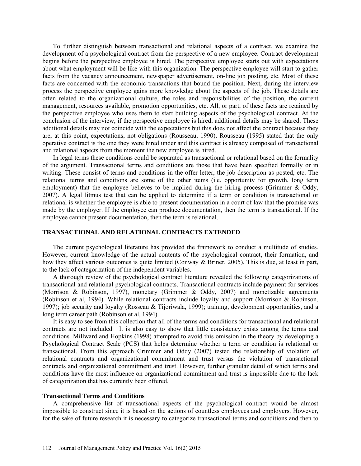To further distinguish between transactional and relational aspects of a contract, we examine the development of a psychological contract from the perspective of a new employee. Contract development begins before the perspective employee is hired. The perspective employee starts out with expectations about what employment will be like with this organization. The perspective employee will start to gather facts from the vacancy announcement, newspaper advertisement, on-line job posting, etc. Most of these facts are concerned with the economic transactions that bound the position. Next, during the interview process the perspective employee gains more knowledge about the aspects of the job. These details are often related to the organizational culture, the roles and responsibilities of the position, the current management, resources available, promotion opportunities, etc. All, or part, of these facts are retained by the perspective employee who uses them to start building aspects of the psychological contract. At the conclusion of the interview, if the perspective employee is hired, additional details may be shared. These additional details may not coincide with the expectations but this does not affect the contract because they are, at this point, expectations, not obligations (Rousseau, 1990). Rousseau (1995) stated that the only operative contract is the one they were hired under and this contract is already composed of transactional and relational aspects from the moment the new employee is hired.

In legal terms these conditions could be separated as transactional or relational based on the formality of the argument. Transactional terms and conditions are those that have been specified formally or in writing. These consist of terms and conditions in the offer letter, the job description as posted, etc. The relational terms and conditions are some of the other items (i.e. opportunity for growth, long term employment) that the employee believes to be implied during the hiring process (Grimmer & Oddy, 2007). A legal litmus test that can be applied to determine if a term or condition is transactional or relational is whether the employee is able to present documentation in a court of law that the promise was made by the employer. If the employee can produce documentation, then the term is transactional. If the employee cannot present documentation, then the term is relational.

# **TRANSACTIONAL AND RELATIONAL CONTRACTS EXTENDED**

The current psychological literature has provided the framework to conduct a multitude of studies. However, current knowledge of the actual contents of the psychological contract, their formation, and how they affect various outcomes is quite limited (Conway & Briner, 2005). This is due, at least in part, to the lack of categorization of the independent variables.

A thorough review of the psychological contract literature revealed the following categorizations of transactional and relational psychological contracts. Transactional contracts include payment for services (Morrison & Robinson, 1997), monetary (Grimmer & Oddy, 2007) and monetizable agreements (Robinson et al, 1994). While relational contracts include loyalty and support (Morrison & Robinson, 1997); job security and loyalty (Rosseau & Tijoriwala, 1999); training, development opportunities, and a long term career path (Robinson et al, 1994).

It is easy to see from this collection that all of the terms and conditions for transactional and relational contracts are not included. It is also easy to show that little consistency exists among the terms and conditions. Millward and Hopkins (1998) attempted to avoid this omission in the theory by developing a Psychological Contract Scale (PCS) that helps determine whether a term or condition is relational or transactional. From this approach Grimmer and Oddy (2007) tested the relationship of violation of relational contracts and organizational commitment and trust versus the violation of transactional contracts and organizational commitment and trust. However, further granular detail of which terms and conditions have the most influence on organizational commitment and trust is impossible due to the lack of categorization that has currently been offered.

#### **Transactional Terms and Conditions**

A comprehensive list of transactional aspects of the psychological contract would be almost impossible to construct since it is based on the actions of countless employees and employers. However, for the sake of future research it is necessary to categorize transactional terms and conditions and then to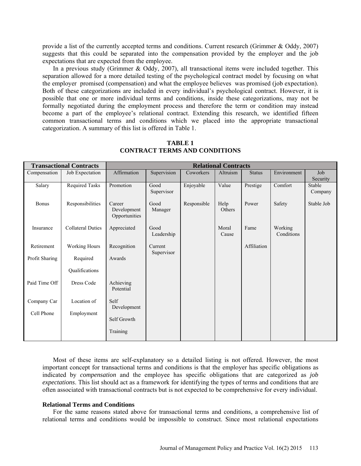provide a list of the currently accepted terms and conditions. Current research (Grimmer & Oddy, 2007) suggests that this could be separated into the compensation provided by the employer and the job expectations that are expected from the employee.

In a previous study (Grimmer & Oddy, 2007), all transactional items were included together. This separation allowed for a more detailed testing of the psychological contract model by focusing on what the employer promised (compensation) and what the employee believes was promised (job expectation). Both of these categorizations are included in every individual's psychological contract. However, it is possible that one or more individual terms and conditions, inside these categorizations, may not be formally negotiated during the employment process and therefore the term or condition may instead become a part of the employee's relational contract. Extending this research, we identified fifteen common transactional terms and conditions which we placed into the appropriate transactional categorization. A summary of this list is offered in Table 1.

| <b>Transactional Contracts</b> |                          | <b>Relational Contracts</b>            |                       |             |                |               |                       |                   |
|--------------------------------|--------------------------|----------------------------------------|-----------------------|-------------|----------------|---------------|-----------------------|-------------------|
| Compensation                   | Job Expectation          | Affirmation                            | Supervision           | Coworkers   | Altruism       | <b>Status</b> | Environment           | Job<br>Security   |
| Salary                         | <b>Required Tasks</b>    | Promotion                              | Good<br>Supervisor    | Enjoyable   | Value          | Prestige      | Comfort               | Stable<br>Company |
| <b>Bonus</b>                   | Responsibilities         | Career<br>Development<br>Opportunities | Good<br>Manager       | Responsible | Help<br>Others | Power         | Safety                | Stable Job        |
| Insurance                      | <b>Collateral Duties</b> | Appreciated                            | Good<br>Leadership    |             | Moral<br>Cause | Fame          | Working<br>Conditions |                   |
| Retirement                     | <b>Working Hours</b>     | Recognition                            | Current<br>Supervisor |             |                | Affiliation   |                       |                   |
| Profit Sharing                 | Required                 | Awards                                 |                       |             |                |               |                       |                   |
|                                | Qualifications           |                                        |                       |             |                |               |                       |                   |
| Paid Time Off                  | Dress Code               | Achieving<br>Potential                 |                       |             |                |               |                       |                   |
| Company Car                    | Location of              | Self<br>Development                    |                       |             |                |               |                       |                   |
| Cell Phone                     | Employment               | Self Growth                            |                       |             |                |               |                       |                   |
|                                |                          | Training                               |                       |             |                |               |                       |                   |

**TABLE 1 CONTRACT TERMS AND CONDITIONS**

Most of these items are self-explanatory so a detailed listing is not offered. However, the most important concept for transactional terms and conditions is that the employer has specific obligations as indicated by *compensation* and the employee has specific obligations that are categorized as *job expectations*. This list should act as a framework for identifying the types of terms and conditions that are often associated with transactional contracts but is not expected to be comprehensive for every individual.

# **Relational Terms and Conditions**

For the same reasons stated above for transactional terms and conditions, a comprehensive list of relational terms and conditions would be impossible to construct. Since most relational expectations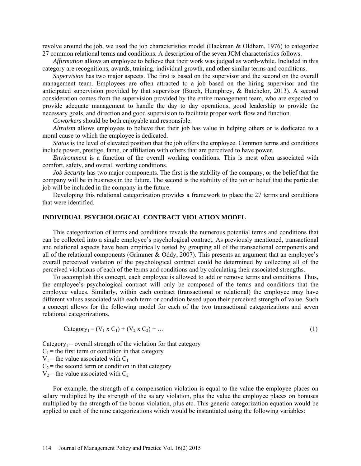revolve around the job, we used the job characteristics model (Hackman & Oldham, 1976) to categorize 27 common relational terms and conditions. A description of the seven JCM characteristics follows.

*Affirmation* allows an employee to believe that their work was judged as worth-while. Included in this category are recognitions, awards, training, individual growth, and other similar terms and conditions.

*Supervision* has two major aspects. The first is based on the supervisor and the second on the overall management team. Employees are often attracted to a job based on the hiring supervisor and the anticipated supervision provided by that supervisor (Burch, Humphrey, & Batchelor, 2013). A second consideration comes from the supervision provided by the entire management team, who are expected to provide adequate management to handle the day to day operations, good leadership to provide the necessary goals, and direction and good supervision to facilitate proper work flow and function.

*Coworkers* should be both enjoyable and responsible.

*Altruism* allows employees to believe that their job has value in helping others or is dedicated to a moral cause to which the employee is dedicated.

*Status* is the level of elevated position that the job offers the employee. Common terms and conditions include power, prestige, fame, or affiliation with others that are perceived to have power.

*Environment* is a function of the overall working conditions. This is most often associated with comfort, safety, and overall working conditions.

*Job Security* has two major components. The first is the stability of the company, or the belief that the company will be in business in the future. The second is the stability of the job or belief that the particular job will be included in the company in the future.

Developing this relational categorization provides a framework to place the 27 terms and conditions that were identified.

### **INDIVIDUAL PSYCHOLOGICAL CONTRACT VIOLATION MODEL**

This categorization of terms and conditions reveals the numerous potential terms and conditions that can be collected into a single employee's psychological contract. As previously mentioned, transactional and relational aspects have been empirically tested by grouping all of the transactional components and all of the relational components (Grimmer & Oddy, 2007). This presents an argument that an employee's overall perceived violation of the psychological contract could be determined by collecting all of the perceived violations of each of the terms and conditions and by calculating their associated strengths.

To accomplish this concept, each employee is allowed to add or remove terms and conditions. Thus, the employee's psychological contract will only be composed of the terms and conditions that the employee values. Similarly, within each contract (transactional or relational) the employee may have different values associated with each term or condition based upon their perceived strength of value. Such a concept allows for the following model for each of the two transactional categorizations and seven relational categorizations.

$$
Category_1 = (V_1 \times C_1) + (V_2 \times C_2) + \dots
$$
 (1)

Category<sub>1</sub> = overall strength of the violation for that category  $C_1$  = the first term or condition in that category  $V_1$  = the value associated with  $C_1$  $C_2$  = the second term or condition in that category  $V_2$  = the value associated with  $C_2$ 

For example, the strength of a compensation violation is equal to the value the employee places on salary multiplied by the strength of the salary violation, plus the value the employee places on bonuses multiplied by the strength of the bonus violation, plus etc. This generic categorization equation would be applied to each of the nine categorizations which would be instantiated using the following variables: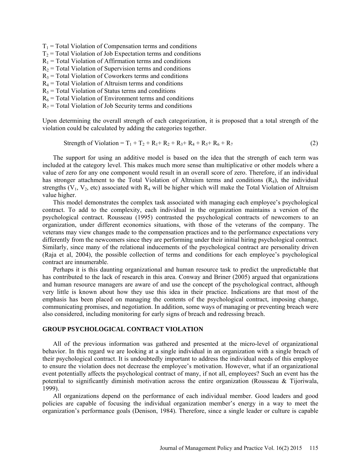$T_1$  = Total Violation of Compensation terms and conditions  $T_2$  = Total Violation of Job Expectation terms and conditions  $R_1$  = Total Violation of Affirmation terms and conditions  $R_2$  = Total Violation of Supervision terms and conditions  $R_3$  = Total Violation of Coworkers terms and conditions  $R_4$  = Total Violation of Altruism terms and conditions  $R<sub>5</sub>$  = Total Violation of Status terms and conditions  $R_6$  = Total Violation of Environment terms and conditions  $R_7$  = Total Violation of Job Security terms and conditions

Upon determining the overall strength of each categorization, it is proposed that a total strength of the violation could be calculated by adding the categories together.

$$
Strength of Violation = T_1 + T_2 + R_1 + R_2 + R_3 + R_4 + R_5 + R_6 + R_7
$$
\n(2)

The support for using an additive model is based on the idea that the strength of each term was included at the category level. This makes much more sense than multiplicative or other models where a value of zero for any one component would result in an overall score of zero. Therefore, if an individual has stronger attachment to the Total Violation of Altruism terms and conditions  $(R<sub>4</sub>)$ , the individual strengths ( $V_1$ ,  $V_2$ , etc) associated with  $R_4$  will be higher which will make the Total Violation of Altruism value higher.

This model demonstrates the complex task associated with managing each employee's psychological contract. To add to the complexity, each individual in the organization maintains a version of the psychological contract. Rousseau (1995) contrasted the psychological contracts of newcomers to an organization, under different economics situations, with those of the veterans of the company. The veterans may view changes made to the compensation practices and to the performance expectations very differently from the newcomers since they are performing under their initial hiring psychological contract. Similarly, since many of the relational inducements of the psychological contract are personality driven (Raja et al, 2004), the possible collection of terms and conditions for each employee's psychological contract are innumerable.

Perhaps it is this daunting organizational and human resource task to predict the unpredictable that has contributed to the lack of research in this area. Conway and Briner (2005) argued that organizations and human resource managers are aware of and use the concept of the psychological contract, although very little is known about how they use this idea in their practice. Indications are that most of the emphasis has been placed on managing the contents of the psychological contract, imposing change, communicating promises, and negotiation. In addition, some ways of managing or preventing breach were also considered, including monitoring for early signs of breach and redressing breach.

# **GROUP PSYCHOLOGICAL CONTRACT VIOLATION**

All of the previous information was gathered and presented at the micro-level of organizational behavior. In this regard we are looking at a single individual in an organization with a single breach of their psychological contract. It is undoubtedly important to address the individual needs of this employee to ensure the violation does not decrease the employee's motivation. However, what if an organizational event potentially affects the psychological contract of many, if not all, employees? Such an event has the potential to significantly diminish motivation across the entire organization (Rousseau & Tijoriwala, 1999).

All organizations depend on the performance of each individual member. Good leaders and good policies are capable of focusing the individual organization member's energy in a way to meet the organization's performance goals (Denison, 1984). Therefore, since a single leader or culture is capable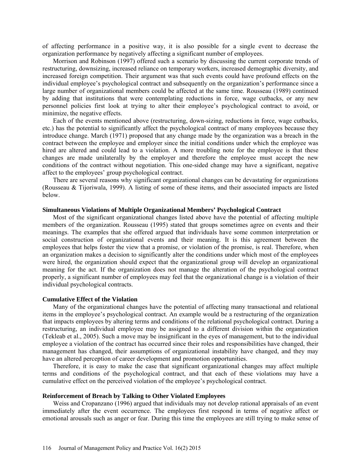of affecting performance in a positive way, it is also possible for a single event to decrease the organization performance by negatively affecting a significant number of employees.

Morrison and Robinson (1997) offered such a scenario by discussing the current corporate trends of restructuring, downsizing, increased reliance on temporary workers, increased demographic diversity, and increased foreign competition. Their argument was that such events could have profound effects on the individual employee's psychological contract and subsequently on the organization's performance since a large number of organizational members could be affected at the same time. Rousseau (1989) continued by adding that institutions that were contemplating reductions in force, wage cutbacks, or any new personnel policies first look at trying to alter their employee's psychological contract to avoid, or minimize, the negative effects.

Each of the events mentioned above (restructuring, down-sizing, reductions in force, wage cutbacks, etc.) has the potential to significantly affect the psychological contract of many employees because they introduce change. March (1971) proposed that any change made by the organization was a breach in the contract between the employee and employer since the initial conditions under which the employee was hired are altered and could lead to a violation. A more troubling note for the employee is that these changes are made unilaterally by the employer and therefore the employee must accept the new conditions of the contract without negotiation. This one-sided change may have a significant, negative affect to the employees' group psychological contract.

There are several reasons why significant organizational changes can be devastating for organizations (Rousseau & Tijoriwala, 1999). A listing of some of these items, and their associated impacts are listed below.

# **Simultaneous Violations of Multiple Organizational Members' Psychological Contract**

Most of the significant organizational changes listed above have the potential of affecting multiple members of the organization. Rousseau (1995) stated that groups sometimes agree on events and their meanings. The examples that she offered argued that individuals have some common interpretation or social construction of organizational events and their meaning. It is this agreement between the employees that helps foster the view that a promise, or violation of the promise, is real. Therefore, when an organization makes a decision to significantly alter the conditions under which most of the employees were hired, the organization should expect that the organizational group will develop an organizational meaning for the act. If the organization does not manage the alteration of the psychological contract properly, a significant number of employees may feel that the organizational change is a violation of their individual psychological contracts.

# **Cumulative Effect of the Violation**

Many of the organizational changes have the potential of affecting many transactional and relational items in the employee's psychological contract. An example would be a restructuring of the organization that impacts employees by altering terms and conditions of the relational psychological contract. During a restructuring, an individual employee may be assigned to a different division within the organization (Tekleab et al., 2005). Such a move may be insignificant in the eyes of management, but to the individual employee a violation of the contract has occurred since their roles and responsibilities have changed, their management has changed, their assumptions of organizational instability have changed, and they may have an altered perception of career development and promotion opportunities.

Therefore, it is easy to make the case that significant organizational changes may affect multiple terms and conditions of the psychological contract, and that each of these violations may have a cumulative effect on the perceived violation of the employee's psychological contract.

#### **Reinforcement of Breach by Talking to Other Violated Employees**

Weiss and Cropanzano (1996) argued that individuals may not develop rational appraisals of an event immediately after the event occurrence. The employees first respond in terms of negative affect or emotional arousals such as anger or fear. During this time the employees are still trying to make sense of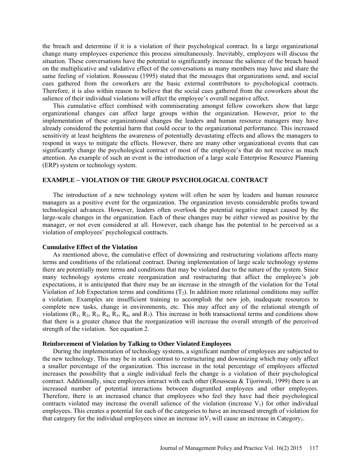the breach and determine if it is a violation of their psychological contract. In a large organizational change many employees experience this process simultaneously. Inevitably, employees will discuss the situation. These conversations have the potential to significantly increase the salience of the breach based on the multiplicative and validative effect of the conversations as many members may have and share the same feeling of violation. Rousseau (1995) stated that the messages that organizations send, and social cues gathered from the coworkers are the basic external contributors to psychological contracts. Therefore, it is also within reason to believe that the social cues gathered from the coworkers about the salience of their individual violations will affect the employee's overall negative affect.

This cumulative effect combined with commiserating amongst fellow coworkers show that large organizational changes can affect large groups within the organization. However, prior to the implementation of these organizational changes the leaders and human resource managers may have already considered the potential harm that could occur to the organizational performance. This increased sensitivity at least heightens the awareness of potentially devastating effects and allows the managers to respond in ways to mitigate the effects. However, there are many other organizational events that can significantly change the psychological contract of most of the employee's that do not receive as much attention. An example of such an event is the introduction of a large scale Enterprise Resource Planning (ERP) system or technology system.

## **EXAMPLE – VIOLATION OF THE GROUP PSYCHOLOGICAL CONTRACT**

The introduction of a new technology system will often be seen by leaders and human resource managers as a positive event for the organization. The organization invests considerable profits toward technological advances. However, leaders often overlook the potential negative impact caused by the large-scale changes in the organization. Each of these changes may be either viewed as positive by the manager, or not even considered at all. However, each change has the potential to be perceived as a violation of employees' psychological contracts.

#### **Cumulative Effect of the Violation**

As mentioned above, the cumulative effect of downsizing and restructuring violations affects many terms and conditions of the relational contract. During implementation of large scale technology systems there are potentially more terms and conditions that may be violated due to the nature of the system. Since many technology systems create reorganization and restructuring that affect the employee's job expectations, it is anticipated that there may be an increase in the strength of the violation for the Total Violation of Job Expectation terms and conditions  $(T_2)$ . In addition more relational conditions may suffer a violation. Examples are insufficient training to accomplish the new job, inadequate resources to complete new tasks, change in environments, etc. This may affect any of the relational strength of violations  $(R_1, R_2, R_3, R_4, R_5, R_6,$  and  $R_7$ ). This increase in both transactional terms and conditions show that there is a greater chance that the reorganization will increase the overall strength of the perceived strength of the violation. See equation 2.

# **Reinforcement of Violation by Talking to Other Violated Employees**

During the implementation of technology systems, a significant number of employees are subjected to the new technology. This may be in stark contrast to restructuring and downsizing which may only affect a smaller percentage of the organization. This increase in the total percentage of employees affected increases the possibility that a single individual feels the change is a violation of their psychological contract. Additionally, since employees interact with each other (Rousseau & Tijoriwali, 1999) there is an increased number of potential interactions between disgruntled employees and other employees. Therefore, there is an increased chance that employees who feel they have had their psychological contracts violated may increase the overall salience of the violation (increase  $V_1$ ) for other individual employees. This creates a potential for each of the categories to have an increased strength of violation for that category for the individual employees since an increase in  $V_1$  will cause an increase in Category<sub>1</sub>.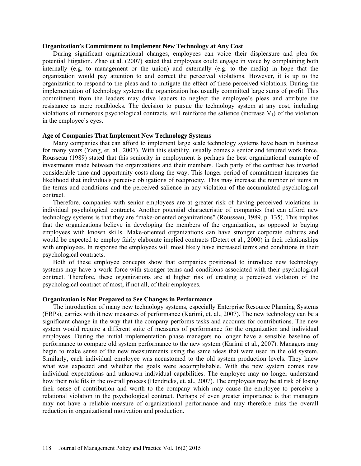### **Organization's Commitment to Implement New Technology at Any Cost**

During significant organizational changes, employees can voice their displeasure and plea for potential litigation. Zhao et al. (2007) stated that employees could engage in voice by complaining both internally (e.g. to management or the union) and externally (e.g. to the media) in hope that the organization would pay attention to and correct the perceived violations. However, it is up to the organization to respond to the pleas and to mitigate the effect of these perceived violations. During the implementation of technology systems the organization has usually committed large sums of profit. This commitment from the leaders may drive leaders to neglect the employee's pleas and attribute the resistance as mere roadblocks. The decision to pursue the technology system at any cost, including violations of numerous psychological contracts, will reinforce the salience (increase  $V_1$ ) of the violation in the employee's eyes.

# **Age of Companies That Implement New Technology Systems**

Many companies that can afford to implement large scale technology systems have been in business for many years (Yang, et. al., 2007). With this stability, usually comes a senior and tenured work force. Rousseau (1989) stated that this seniority in employment is perhaps the best organizational example of investments made between the organizations and their members. Each party of the contract has invested considerable time and opportunity costs along the way. This longer period of commitment increases the likelihood that individuals perceive obligations of reciprocity. This may increase the number of items in the terms and conditions and the perceived salience in any violation of the accumulated psychological contract.

Therefore, companies with senior employees are at greater risk of having perceived violations in individual psychological contracts. Another potential characteristic of companies that can afford new technology systems is that they are "make-oriented organizations" (Rousseau, 1989, p. 135). This implies that the organizations believe in developing the members of the organization, as opposed to buying employees with known skills. Make-oriented organizations can have stronger corporate cultures and would be expected to employ fairly elaborate implied contracts (Detert et al., 2000) in their relationships with employees. In response the employees will most likely have increased terms and conditions in their psychological contracts.

Both of these employee concepts show that companies positioned to introduce new technology systems may have a work force with stronger terms and conditions associated with their psychological contract. Therefore, these organizations are at higher risk of creating a perceived violation of the psychological contract of most, if not all, of their employees.

# **Organization is Not Prepared to See Changes in Performance**

The introduction of many new technology systems, especially Enterprise Resource Planning Systems (ERPs), carries with it new measures of performance (Karimi, et. al., 2007). The new technology can be a significant change in the way that the company performs tasks and accounts for contributions. The new system would require a different suite of measures of performance for the organization and individual employees. During the initial implementation phase managers no longer have a sensible baseline of performance to compare old system performance to the new system (Karimi et al., 2007). Managers may begin to make sense of the new measurements using the same ideas that were used in the old system. Similarly, each individual employee was accustomed to the old system production levels. They knew what was expected and whether the goals were accomplishable. With the new system comes new individual expectations and unknown individual capabilities. The employee may no longer understand how their role fits in the overall process (Hendricks, et. al., 2007). The employees may be at risk of losing their sense of contribution and worth to the company which may cause the employee to perceive a relational violation in the psychological contract. Perhaps of even greater importance is that managers may not have a reliable measure of organizational performance and may therefore miss the overall reduction in organizational motivation and production.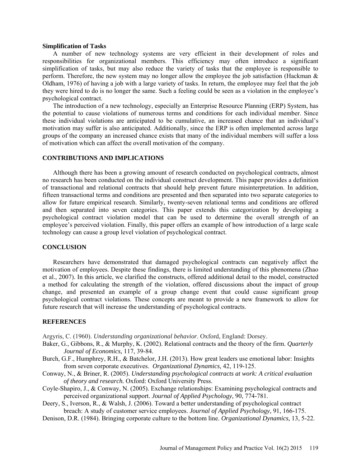## **Simplification of Tasks**

A number of new technology systems are very efficient in their development of roles and responsibilities for organizational members. This efficiency may often introduce a significant simplification of tasks, but may also reduce the variety of tasks that the employee is responsible to perform. Therefore, the new system may no longer allow the employee the job satisfaction (Hackman & Oldham, 1976) of having a job with a large variety of tasks. In return, the employee may feel that the job they were hired to do is no longer the same. Such a feeling could be seen as a violation in the employee's psychological contract.

The introduction of a new technology, especially an Enterprise Resource Planning (ERP) System, has the potential to cause violations of numerous terms and conditions for each individual member. Since these individual violations are anticipated to be cumulative, an increased chance that an individual's motivation may suffer is also anticipated. Additionally, since the ERP is often implemented across large groups of the company an increased chance exists that many of the individual members will suffer a loss of motivation which can affect the overall motivation of the company.

# **CONTRIBUTIONS AND IMPLICATIONS**

Although there has been a growing amount of research conducted on psychological contracts, almost no research has been conducted on the individual construct development. This paper provides a definition of transactional and relational contracts that should help prevent future misinterpretation. In addition, fifteen transactional terms and conditions are presented and then separated into two separate categories to allow for future empirical research. Similarly, twenty-seven relational terms and conditions are offered and then separated into seven categories. This paper extends this categorization by developing a psychological contract violation model that can be used to determine the overall strength of an employee's perceived violation. Finally, this paper offers an example of how introduction of a large scale technology can cause a group level violation of psychological contract.

# **CONCLUSION**

Researchers have demonstrated that damaged psychological contracts can negatively affect the motivation of employees. Despite these findings, there is limited understanding of this phenomena (Zhao et al., 2007). In this article, we clarified the constructs, offered additional detail to the model, constructed a method for calculating the strength of the violation, offered discussions about the impact of group change, and presented an example of a group change event that could cause significant group psychological contract violations. These concepts are meant to provide a new framework to allow for future research that will increase the understanding of psychological contracts.

## **REFERENCES**

Argyris, C. (1960). *Understanding organizational behavior*. Oxford, England: Dorsey.

- Baker, G., Gibbons, R., & Murphy, K. (2002). Relational contracts and the theory of the firm. *Quarterly Journal of Economics,* 117, 39-84.
- Burch, G.F., Humphrey, R.H., & Batchelor, J.H. (2013). How great leaders use emotional labor: Insights from seven corporate executives. *Organizational Dynamics,* 42, 119-125.
- Conway, N., & Briner, R. (2005). *Understanding psychological contracts at work: A critical evaluation of theory and research.* Oxford: Oxford University Press.
- Coyle-Shapiro, J., & Conway, N. (2005). Exchange relationships: Examining psychological contracts and perceived organizational support. *Journal of Applied Psychology,* 90, 774-781.

Deery, S., Iverson, R., & Walsh, J. (2006). Toward a better understanding of psychological contract breach: A study of customer service employees. *Journal of Applied Psychology,* 91, 166-175.

Denison, D.R. (1984). Bringing corporate culture to the bottom line. *Organizational Dynamics,* 13, 5-22.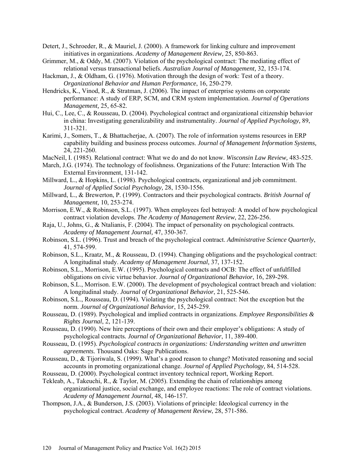- Detert, J., Schroeder, R., & Mauriel, J. (2000). A framework for linking culture and improvement initiatives in organizations. *Academy of Management Review,* 25, 850-863.
- Grimmer, M., & Oddy, M. (2007). Violation of the psychological contract: The mediating effect of relational versus transactional beliefs. *Australian Journal of Management,* 32, 153-174.
- Hackman, J., & Oldham, G. (1976). Motivation through the design of work: Test of a theory. *Organizational Behavior and Human Performance*, 16, 250-279.
- Hendricks, K., Vinod, R., & Stratman, J. (2006). The impact of enterprise systems on corporate performance: A study of ERP, SCM, and CRM system implementation. *Journal of Operations Management,* 25, 65-82.
- Hui, C., Lee, C., & Rousseau, D. (2004). Psychological contract and organizational citizenship behavior in china: Investigating generalizability and instrumentality. *Journal of Applied Psychology,* 89, 311-321.
- Karimi, J., Somers, T., & Bhattacherjae, A. (2007). The role of information systems resources in ERP capability building and business process outcomes. *Journal of Management Information Systems,* 24, 221-260.
- MacNeil, I. (1985). Relational contract: What we do and do not know. *Wisconsin Law Review,* 483-525.
- March, J.G. (1974). The technology of foolishness. Organizations of the Future: Interaction With The External Environment, 131-142.
- Millward, L., & Hopkins, L. (1998). Psychological contracts, organizational and job commitment. *Journal of Applied Social Psychology,* 28, 1530-1556.
- Millward, L., & Brewerton, P. (1999). Contractors and their psychological contracts. *British Journal of Management,* 10, 253-274.
- Morrison, E.W., & Robinson, S.L. (1997). When employees feel betrayed: A model of how psychological contract violation develops. *The Academy of Management Review*, 22, 226-256.
- Raja, U., Johns, G., & Ntalianis, F. (2004). The impact of personality on psychological contracts. *Academy of Management Journal,* 47, 350-367.
- Robinson, S.L. (1996). Trust and breach of the psychological contract. *Administrative Science Quarterly*, 41, 574-599.
- Robinson, S.L., Kraatz, M., & Rousseau, D. (1994). Changing obligations and the psychological contract: A longitudinal study. *Academy of Management Journal,* 37, 137-152.
- Robinson, S.L., Morrison, E.W. (1995). Psychological contracts and OCB: The effect of unfulfilled obligations on civic virtue behavior. *Journal of Organizational Behavior*, 16, 289-298.
- Robinson, S.L., Morrison. E.W. (2000). The development of psychological contract breach and violation: A longitudinal study. *Journal of Organizational Behavior*, 21, 525-546.
- Robinson, S.L., Rousseau, D. (1994). Violating the psychological contract: Not the exception but the norm. *Journal of Organizational Behavior*, 15, 245-259.
- Rousseau, D. (1989). Psychological and implied contracts in organizations. *Employee Responsibilities & Rights Journal*, 2, 121-139.
- Rousseau, D. (1990). New hire perceptions of their own and their employer's obligations: A study of psychological contracts*. Journal of Organizational Behavior*, 11, 389-400.
- Rousseau, D. (1995). *Psychological contracts in organizations: Understanding written and unwritten agreements.* Thousand Oaks: Sage Publications.
- Rousseau, D., & Tijoriwala, S. (1999). What's a good reason to change? Motivated reasoning and social accounts in promoting organizational change. *Journal of Applied Psychology,* 84, 514-528.
- Rousseau, D. (2000). Psychological contract inventory technical report, Working Report.
- Tekleab, A., Takeuchi, R., & Taylor, M. (2005). Extending the chain of relationships among organizational justice, social exchange, and employee reactions: The role of contract violations. *Academy of Management Journal,* 48, 146-157.
- Thompson, J.A., & Bunderson, J.S. (2003). Violations of principle: Ideological currency in the psychological contract. *Academy of Management Review*, 28, 571-586.